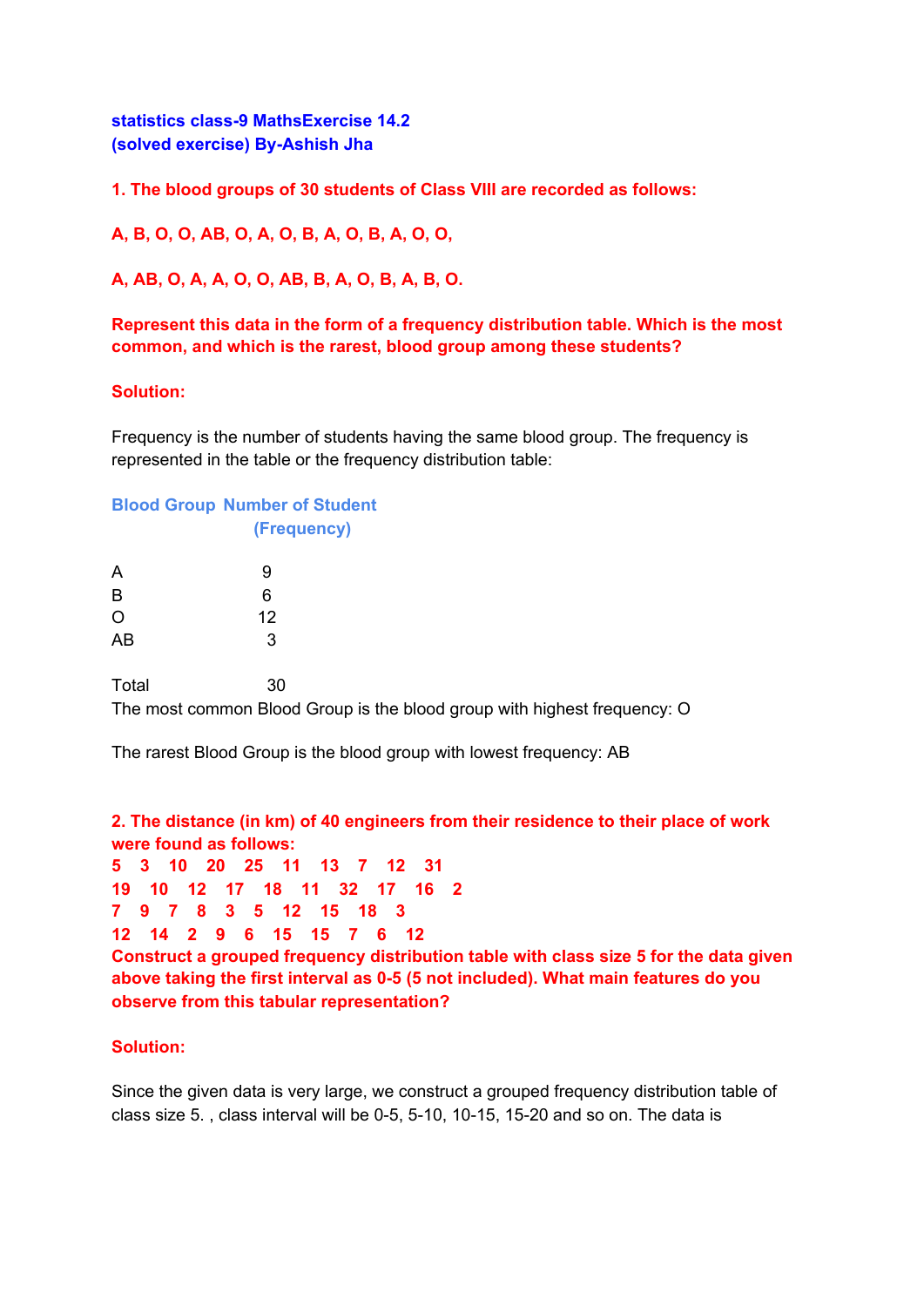**statistics class-9 MathsExercise 14.2 (solved exercise) By-Ashish Jha**

**1. The blood groups of 30 students of Class VIII are recorded as follows:**

**A, B, O, O, AB, O, A, O, B, A, O, B, A, O, O,**

**A, AB, O, A, A, O, O, AB, B, A, O, B, A, B, O.**

**Represent this data in the form of a frequency distribution table. Which is the most common, and which is the rarest, blood group among these students?**

## **Solution:**

Frequency is the number of students having the same blood group. The frequency is represented in the table or the frequency distribution table:

## **Blood Group Number of Student**

| (Frequency) |  |
|-------------|--|
|             |  |

| A  | 9  |
|----|----|
| B  | 6  |
| O  | 12 |
| AB | 3  |

Total 30 The most common Blood Group is the blood group with highest frequency: O

The rarest Blood Group is the blood group with lowest frequency: AB

**2. The distance (in km) of 40 engineers from their residence to their place of work were found as follows:**

```
5 3 10 20 25 11 13 7 12 31
19 10 12 17 18 11 32 17 16 2
```
**7 9 7 8 3 5 12 15 18 3**

**12 14 2 9 6 15 15 7 6 12**

**Construct a grouped frequency distribution table with class size 5 for the data given above taking the first interval as 0-5 (5 not included). What main features do you observe from this tabular representation?**

## **Solution:**

Since the given data is very large, we construct a grouped frequency distribution table of class size 5. , class interval will be 0-5, 5-10, 10-15, 15-20 and so on. The data is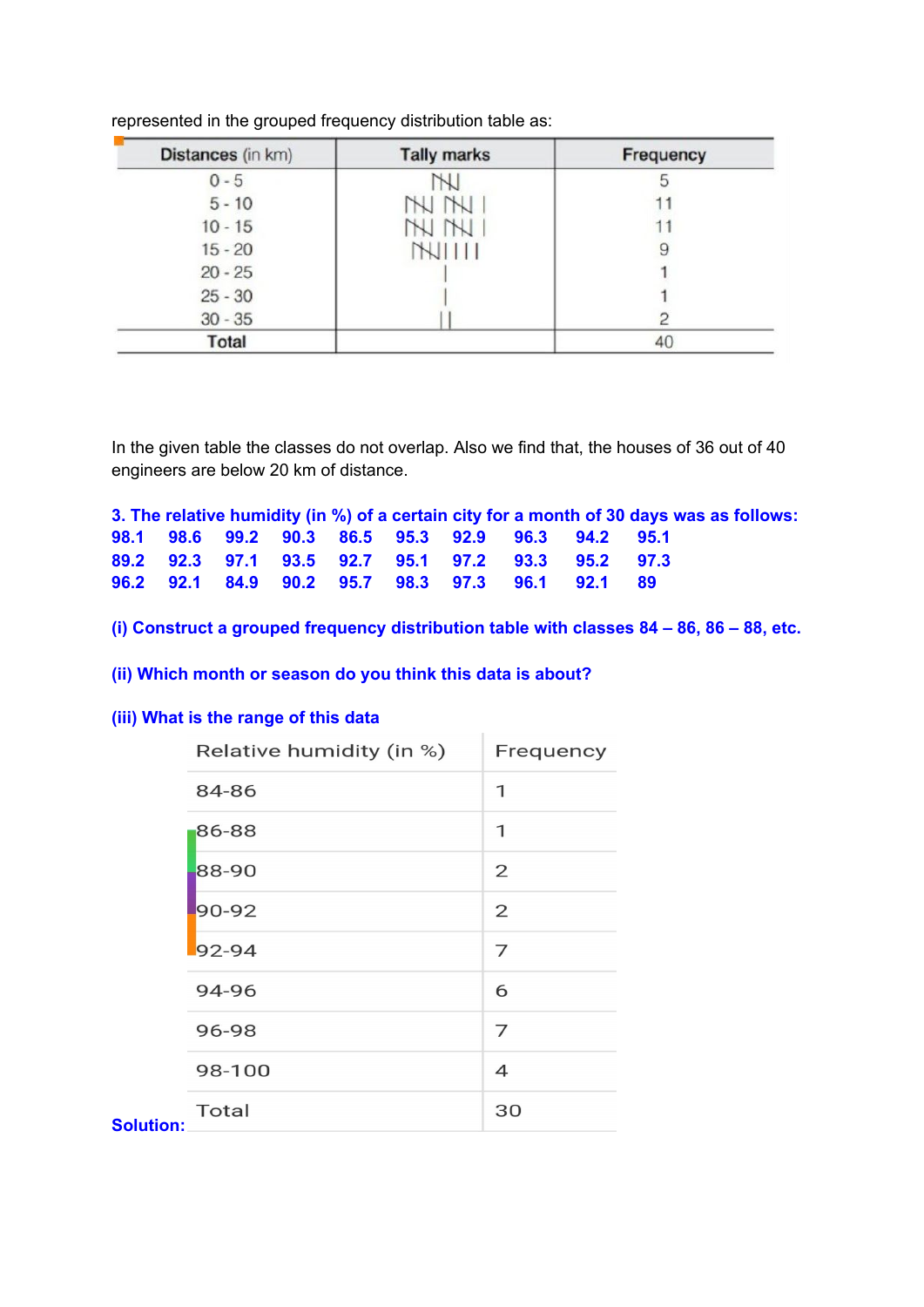| Distances (in km) | <b>Tally marks</b> | Frequency |
|-------------------|--------------------|-----------|
| $0 - 5$           |                    | ð         |
| $5 - 10$          |                    |           |
| $10 - 15$         | NN                 |           |
| $15 - 20$         | <b>NIIII</b>       | 9         |
| $20 - 25$         |                    |           |
| $25 - 30$         |                    |           |
| $30 - 35$         |                    |           |
| Total             |                    | 40        |

represented in the grouped frequency distribution table as:

In the given table the classes do not overlap. Also we find that, the houses of 36 out of 40 engineers are below 20 km of distance.

**3. The relative humidity (in %) of a certain city for a month of 30 days was as follows: 98.1 98.6 99.2 90.3 86.5 95.3 92.9 96.3 94.2 95.1 89.2 92.3 97.1 93.5 92.7 95.1 97.2 93.3 95.2 97.3 96.2 92.1 84.9 90.2 95.7 98.3 97.3 96.1 92.1 89**

**(i) Construct a grouped frequency distribution table with classes 84 – 86, 86 – 88, etc.**

**(ii) Which month or season do you think this data is about?**

## **(iii) What is the range of this data**

|                  | Relative humidity (in %) | Frequency      |
|------------------|--------------------------|----------------|
|                  | 84-86                    | 1              |
|                  | 86-88                    | 1              |
|                  | 88-90                    | $\overline{2}$ |
|                  | 90-92                    | 2              |
|                  | $92 - 94$                | 7              |
|                  | 94-96                    | 6              |
|                  | 96-98                    | 7              |
|                  | 98-100                   | $\overline{4}$ |
| <b>Solution:</b> | <b>Total</b>             | 30             |
|                  |                          |                |